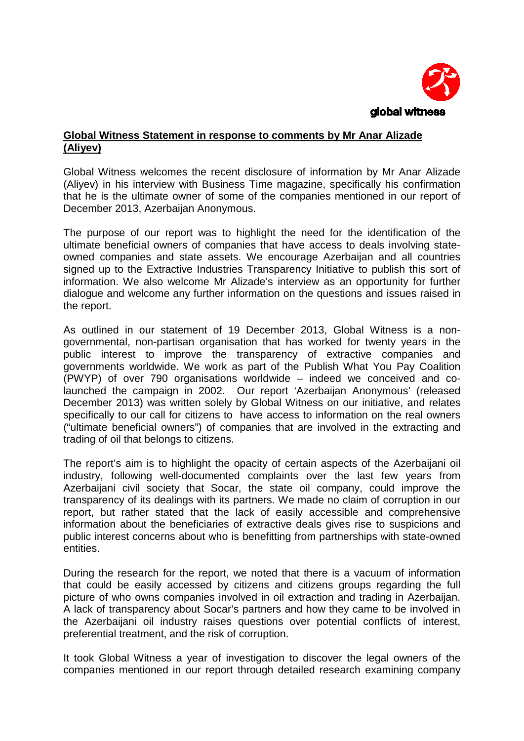

## **Global Witness Statement in response to comments by Mr Anar Alizade (Aliyev)**

Global Witness welcomes the recent disclosure of information by Mr Anar Alizade (Aliyev) in his interview with Business Time magazine, specifically his confirmation that he is the ultimate owner of some of the companies mentioned in our report of December 2013, Azerbaijan Anonymous.

The purpose of our report was to highlight the need for the identification of the ultimate beneficial owners of companies that have access to deals involving stateowned companies and state assets. We encourage Azerbaijan and all countries signed up to the Extractive Industries Transparency Initiative to publish this sort of information. We also welcome Mr Alizade's interview as an opportunity for further dialogue and welcome any further information on the questions and issues raised in the report.

As outlined in our statement of 19 December 2013, Global Witness is a nongovernmental, non-partisan organisation that has worked for twenty years in the public interest to improve the transparency of extractive companies and governments worldwide. We work as part of the Publish What You Pay Coalition (PWYP) of over 790 organisations worldwide – indeed we conceived and colaunched the campaign in 2002. Our report 'Azerbaijan Anonymous' (released December 2013) was written solely by Global Witness on our initiative, and relates specifically to our call for citizens to have access to information on the real owners ("ultimate beneficial owners") of companies that are involved in the extracting and trading of oil that belongs to citizens.

The report's aim is to highlight the opacity of certain aspects of the Azerbaijani oil industry, following well-documented complaints over the last few years from Azerbaijani civil society that Socar, the state oil company, could improve the transparency of its dealings with its partners. We made no claim of corruption in our report, but rather stated that the lack of easily accessible and comprehensive information about the beneficiaries of extractive deals gives rise to suspicions and public interest concerns about who is benefitting from partnerships with state-owned entities.

During the research for the report, we noted that there is a vacuum of information that could be easily accessed by citizens and citizens groups regarding the full picture of who owns companies involved in oil extraction and trading in Azerbaijan. A lack of transparency about Socar's partners and how they came to be involved in the Azerbaijani oil industry raises questions over potential conflicts of interest, preferential treatment, and the risk of corruption.

It took Global Witness a year of investigation to discover the legal owners of the companies mentioned in our report through detailed research examining company